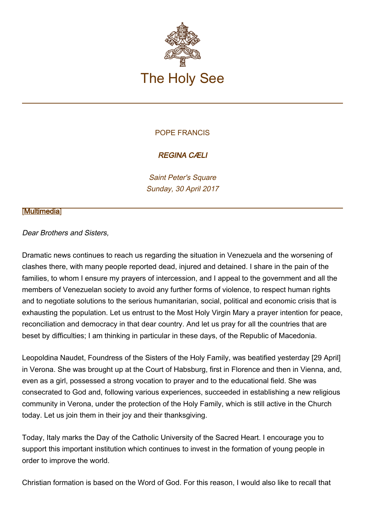

## POPE FRANCIS

## REGINA CÆLI

Saint Peter's Square Sunday, 30 April 2017

## **[\[Multimedia](http://w2.vatican.va/content/francesco/en/events/event.dir.html/content/vaticanevents/en/2017/4/30/reginacoeli.html)]**

## Dear Brothers and Sisters,

Dramatic news continues to reach us regarding the situation in Venezuela and the worsening of clashes there, with many people reported dead, injured and detained. I share in the pain of the families, to whom I ensure my prayers of intercession, and I appeal to the government and all the members of Venezuelan society to avoid any further forms of violence, to respect human rights and to negotiate solutions to the serious humanitarian, social, political and economic crisis that is exhausting the population. Let us entrust to the Most Holy Virgin Mary a prayer intention for peace, reconciliation and democracy in that dear country. And let us pray for all the countries that are beset by difficulties; I am thinking in particular in these days, of the Republic of Macedonia.

Leopoldina Naudet, Foundress of the Sisters of the Holy Family, was beatified yesterday [29 April] in Verona. She was brought up at the Court of Habsburg, first in Florence and then in Vienna, and, even as a girl, possessed a strong vocation to prayer and to the educational field. She was consecrated to God and, following various experiences, succeeded in establishing a new religious community in Verona, under the protection of the Holy Family, which is still active in the Church today. Let us join them in their joy and their thanksgiving.

Today, Italy marks the Day of the Catholic University of the Sacred Heart. I encourage you to support this important institution which continues to invest in the formation of young people in order to improve the world.

Christian formation is based on the Word of God. For this reason, I would also like to recall that